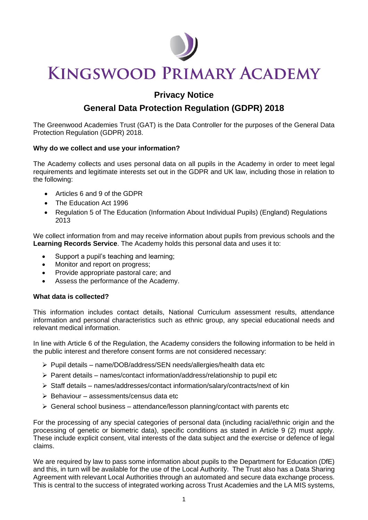

# **KINGSWOOD PRIMARY ACADEMY**

### **Privacy Notice**

## **General Data Protection Regulation (GDPR) 2018**

The Greenwood Academies Trust (GAT) is the Data Controller for the purposes of the General Data Protection Regulation (GDPR) 2018.

#### **Why do we collect and use your information?**

The Academy collects and uses personal data on all pupils in the Academy in order to meet legal requirements and legitimate interests set out in the GDPR and UK law, including those in relation to the following:

- Articles 6 and 9 of the GDPR
- The Education Act 1996
- Regulation 5 of The Education (Information About Individual Pupils) (England) Regulations 2013

We collect information from and may receive information about pupils from previous schools and the **Learning Records Service**. The Academy holds this personal data and uses it to:

- Support a pupil's teaching and learning;
- Monitor and report on progress:
- Provide appropriate pastoral care; and
- Assess the performance of the Academy.

#### **What data is collected?**

This information includes contact details, National Curriculum assessment results, attendance information and personal characteristics such as ethnic group, any special educational needs and relevant medical information.

In line with Article 6 of the Regulation, the Academy considers the following information to be held in the public interest and therefore consent forms are not considered necessary:

- ➢ Pupil details name/DOB/address/SEN needs/allergies/health data etc
- $\triangleright$  Parent details names/contact information/address/relationship to pupil etc
- ➢ Staff details names/addresses/contact information/salary/contracts/next of kin
- $\triangleright$  Behaviour assessments/census data etc.
- $\triangleright$  General school business attendance/lesson planning/contact with parents etc

For the processing of any special categories of personal data (including racial/ethnic origin and the processing of genetic or biometric data), specific conditions as stated in Article 9 (2) must apply. These include explicit consent, vital interests of the data subject and the exercise or defence of legal claims.

We are required by law to pass some information about pupils to the Department for Education (DfE) and this, in turn will be available for the use of the Local Authority. The Trust also has a Data Sharing Agreement with relevant Local Authorities through an automated and secure data exchange process. This is central to the success of integrated working across Trust Academies and the LA MIS systems,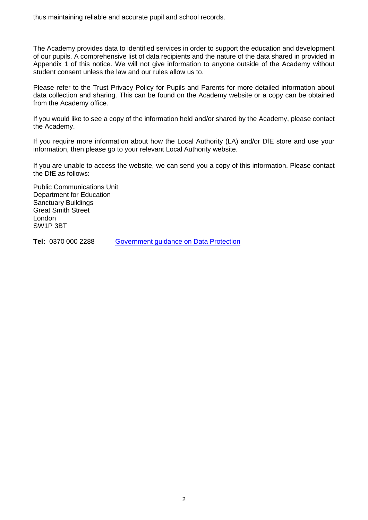thus maintaining reliable and accurate pupil and school records.

The Academy provides data to identified services in order to support the education and development of our pupils. A comprehensive list of data recipients and the nature of the data shared in provided in Appendix 1 of this notice. We will not give information to anyone outside of the Academy without student consent unless the law and our rules allow us to.

Please refer to the Trust Privacy Policy for Pupils and Parents for more detailed information about data collection and sharing. This can be found on the Academy website or a copy can be obtained from the Academy office.

If you would like to see a copy of the information held and/or shared by the Academy, please contact the Academy.

If you require more information about how the Local Authority (LA) and/or DfE store and use your information, then please go to your relevant Local Authority website.

If you are unable to access the website, we can send you a copy of this information. Please contact the DfE as follows:

Public Communications Unit Department for Education Sanctuary Buildings Great Smith Street London SW1P 3BT

**Tel:** 0370 000 2288 [Government guidance on Data Protection](https://www.gov.uk/data-protection-how-we-collect-and-share-research-data)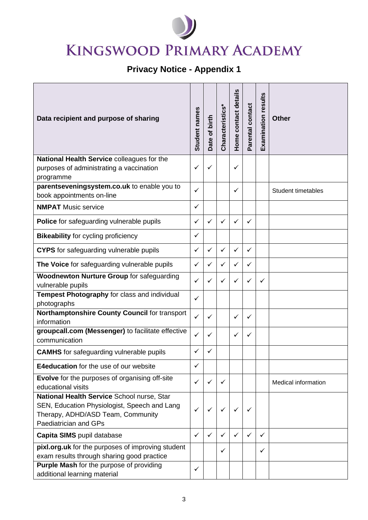# **KINGSWOOD PRIMARY ACADEMY**

# **Privacy Notice - Appendix 1**

| Data recipient and purpose of sharing                                                                                                                    | Student names | Date of birth | Characteristics* | Home contact details | Parental contact | Examination results | <b>Other</b>               |
|----------------------------------------------------------------------------------------------------------------------------------------------------------|---------------|---------------|------------------|----------------------|------------------|---------------------|----------------------------|
| National Health Service colleagues for the<br>purposes of administrating a vaccination<br>programme                                                      | ✓             | ✓             |                  | ✓                    |                  |                     |                            |
| parentseveningsystem.co.uk to enable you to<br>book appointments on-line                                                                                 | ✓             |               |                  | ✓                    |                  |                     | <b>Student timetables</b>  |
| <b>NMPAT</b> Music service                                                                                                                               | $\checkmark$  |               |                  |                      |                  |                     |                            |
| Police for safeguarding vulnerable pupils                                                                                                                | ✓             | ✓             | ✓                | ✓                    | ✓                |                     |                            |
| <b>Bikeability for cycling proficiency</b>                                                                                                               | $\checkmark$  |               |                  |                      |                  |                     |                            |
| <b>CYPS</b> for safeguarding vulnerable pupils                                                                                                           | $\checkmark$  | $\checkmark$  | ✓                | $\checkmark$         | ✓                |                     |                            |
| The Voice for safeguarding vulnerable pupils                                                                                                             | ✓             | $\checkmark$  | ✓                | ✓                    | ✓                |                     |                            |
| <b>Woodnewton Nurture Group for safeguarding</b><br>vulnerable pupils                                                                                    | ✓             | ✓             | ✓                | ✓                    | ✓                | ✓                   |                            |
| Tempest Photography for class and individual<br>photographs                                                                                              | ✓             |               |                  |                      |                  |                     |                            |
| Northamptonshire County Council for transport<br>information                                                                                             | $\checkmark$  | $\checkmark$  |                  | $\checkmark$         | ✓                |                     |                            |
| groupcall.com (Messenger) to facilitate effective<br>communication                                                                                       | ✓             | ✓             |                  | ✓                    | ✓                |                     |                            |
| <b>CAMHS</b> for safeguarding vulnerable pupils                                                                                                          | ✓             |               |                  |                      |                  |                     |                            |
| <b>E4education</b> for the use of our website                                                                                                            | ✓             |               |                  |                      |                  |                     |                            |
| <b>Evolve</b> for the purposes of organising off-site<br>educational visits                                                                              | ✓             | ✓             | ✓                |                      |                  |                     | <b>Medical information</b> |
| National Health Service School nurse, Star<br>SEN, Education Physiologist, Speech and Lang<br>Therapy, ADHD/ASD Team, Community<br>Paediatrician and GPs | ✓             | ✓             | ✓                | ✓                    | ✓                |                     |                            |
| Capita SIMS pupil database                                                                                                                               | ✓             | $\checkmark$  | $\checkmark$     | ✓                    | ✓                | ✓                   |                            |
| pixl.org.uk for the purposes of improving student<br>exam results through sharing good practice                                                          |               |               | ✓                |                      |                  | ✓                   |                            |
| <b>Purple Mash for the purpose of providing</b><br>additional learning material                                                                          | ✓             |               |                  |                      |                  |                     |                            |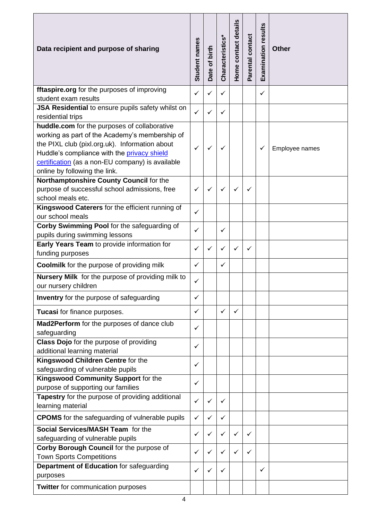| Data recipient and purpose of sharing                                                         | Student names | Date of birth | Characteristics* | Home contact details | Parental contact | <b>Examination results</b> | <b>Other</b>   |
|-----------------------------------------------------------------------------------------------|---------------|---------------|------------------|----------------------|------------------|----------------------------|----------------|
| fftaspire.org for the purposes of improving                                                   | $\checkmark$  | $\checkmark$  | ✓                |                      |                  | ✓                          |                |
| student exam results                                                                          |               |               |                  |                      |                  |                            |                |
| JSA Residential to ensure pupils safety whilst on                                             | $\checkmark$  | ✓             | $\checkmark$     |                      |                  |                            |                |
| residential trips                                                                             |               |               |                  |                      |                  |                            |                |
| huddle.com for the purposes of collaborative                                                  |               |               |                  |                      |                  |                            |                |
| working as part of the Academy's membership of                                                |               |               |                  |                      |                  |                            |                |
| the PIXL club (pixl.org.uk). Information about<br>Huddle's compliance with the privacy shield | $\checkmark$  |               |                  |                      |                  | $\checkmark$               | Employee names |
| certification (as a non-EU company) is available                                              |               |               |                  |                      |                  |                            |                |
| online by following the link.                                                                 |               |               |                  |                      |                  |                            |                |
| Northamptonshire County Council for the                                                       |               |               |                  |                      |                  |                            |                |
| purpose of successful school admissions, free                                                 | ✓             | ✓             |                  |                      | ✓                |                            |                |
| school meals etc.                                                                             |               |               |                  |                      |                  |                            |                |
| Kingswood Caterers for the efficient running of                                               |               |               |                  |                      |                  |                            |                |
| our school meals                                                                              | ✓             |               |                  |                      |                  |                            |                |
| Corby Swimming Pool for the safeguarding of                                                   |               |               |                  |                      |                  |                            |                |
| pupils during swimming lessons                                                                | ✓             |               | ✓                |                      |                  |                            |                |
| Early Years Team to provide information for                                                   |               |               |                  |                      |                  |                            |                |
| funding purposes                                                                              | ✓             | ✓             | $\checkmark$     | ✓                    | $\checkmark$     |                            |                |
| <b>Coolmilk</b> for the purpose of providing milk                                             | ✓             |               | ✓                |                      |                  |                            |                |
| Nursery Milk for the purpose of providing milk to<br>our nursery children                     | ✓             |               |                  |                      |                  |                            |                |
|                                                                                               |               |               |                  |                      |                  |                            |                |
| <b>Inventry</b> for the purpose of safeguarding                                               | ✓             |               |                  |                      |                  |                            |                |
| Tucasi for finance purposes.                                                                  | $\checkmark$  |               | ✓                | ✓                    |                  |                            |                |
| Mad2Perform for the purposes of dance club                                                    | ✓             |               |                  |                      |                  |                            |                |
| safeguarding                                                                                  |               |               |                  |                      |                  |                            |                |
| Class Dojo for the purpose of providing                                                       | ✓             |               |                  |                      |                  |                            |                |
| additional learning material                                                                  |               |               |                  |                      |                  |                            |                |
| Kingswood Children Centre for the                                                             | ✓             |               |                  |                      |                  |                            |                |
| safeguarding of vulnerable pupils                                                             |               |               |                  |                      |                  |                            |                |
| Kingswood Community Support for the                                                           | ✓             |               |                  |                      |                  |                            |                |
| purpose of supporting our families<br>Tapestry for the purpose of providing additional        |               |               |                  |                      |                  |                            |                |
| learning material                                                                             | ✓             | $\checkmark$  | ✓                |                      |                  |                            |                |
| <b>CPOMS</b> for the safeguarding of vulnerable pupils                                        | ✓             | $\checkmark$  | ✓                |                      |                  |                            |                |
| Social Services/MASH Team for the                                                             |               |               |                  |                      |                  |                            |                |
| safeguarding of vulnerable pupils                                                             | ✓             | ✓             | ✓                | ✓                    | ✓                |                            |                |
| Corby Borough Council for the purpose of                                                      |               |               |                  |                      |                  |                            |                |
| <b>Town Sports Competitions</b>                                                               | ✓             | ✓             |                  |                      | ✓                |                            |                |
| Department of Education for safeguarding                                                      |               |               |                  |                      |                  |                            |                |
| purposes                                                                                      | ✓             |               |                  |                      |                  | ✓                          |                |
| <b>Twitter</b> for communication purposes                                                     |               |               |                  |                      |                  |                            |                |